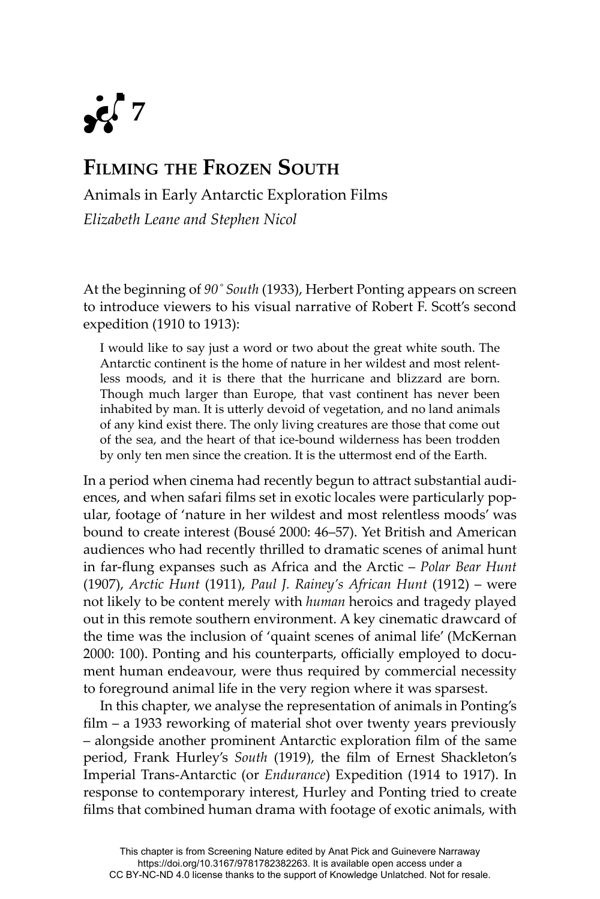

# **Filming the Frozen South**

Animals in Early Antarctic Exploration Films

*Elizabeth Leane and Stephen Nicol*

At the beginning of *90˚ South* (1933), Herbert Ponting appears on screen to introduce viewers to his visual narrative of Robert F. Scott's second expedition (1910 to 1913):

I would like to say just a word or two about the great white south. The Antarctic continent is the home of nature in her wildest and most relentless moods, and it is there that the hurricane and blizzard are born. Though much larger than Europe, that vast continent has never been inhabited by man. It is utterly devoid of vegetation, and no land animals of any kind exist there. The only living creatures are those that come out of the sea, and the heart of that ice-bound wilderness has been trodden by only ten men since the creation. It is the uttermost end of the Earth.

In a period when cinema had recently begun to attract substantial audiences, and when safari films set in exotic locales were particularly popular, footage of 'nature in her wildest and most relentless moods' was bound to create interest (Bousé 2000: 46–57). Yet British and American audiences who had recently thrilled to dramatic scenes of animal hunt in far-flung expanses such as Africa and the Arctic – *Polar Bear Hunt*  (1907), *Arctic Hunt* (1911), *Paul J. Rainey's African Hunt* (1912) – were not likely to be content merely with *human* heroics and tragedy played out in this remote southern environment. A key cinematic drawcard of the time was the inclusion of 'quaint scenes of animal life' (McKernan 2000: 100). Ponting and his counterparts, officially employed to document human endeavour, were thus required by commercial necessity to foreground animal life in the very region where it was sparsest.

In this chapter, we analyse the representation of animals in Ponting's film – a 1933 reworking of material shot over twenty years previously – alongside another prominent Antarctic exploration film of the same period, Frank Hurley's *South* (1919), the film of Ernest Shackleton's Imperial Trans-Antarctic (or *Endurance*) Expedition (1914 to 1917). In response to contemporary interest, Hurley and Ponting tried to create films that combined human drama with footage of exotic animals, with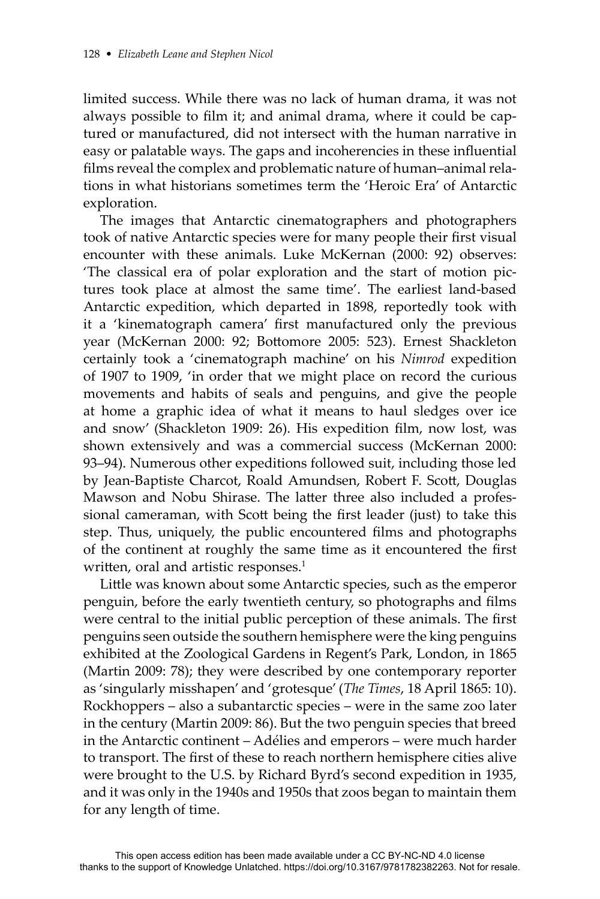limited success. While there was no lack of human drama, it was not always possible to film it; and animal drama, where it could be captured or manufactured, did not intersect with the human narrative in easy or palatable ways. The gaps and incoherencies in these influential films reveal the complex and problematic nature of human–animal relations in what historians sometimes term the 'Heroic Era' of Antarctic exploration.

The images that Antarctic cinematographers and photographers took of native Antarctic species were for many people their first visual encounter with these animals. Luke McKernan (2000: 92) observes: 'The classical era of polar exploration and the start of motion pictures took place at almost the same time'. The earliest land-based Antarctic expedition, which departed in 1898, reportedly took with it a 'kinematograph camera' first manufactured only the previous year (McKernan 2000: 92; Bottomore 2005: 523). Ernest Shackleton certainly took a 'cinematograph machine' on his *Nimrod* expedition of 1907 to 1909, 'in order that we might place on record the curious movements and habits of seals and penguins, and give the people at home a graphic idea of what it means to haul sledges over ice and snow' (Shackleton 1909: 26). His expedition film, now lost, was shown extensively and was a commercial success (McKernan 2000: 93–94). Numerous other expeditions followed suit, including those led by Jean-Baptiste Charcot, Roald Amundsen, Robert F. Scott, Douglas Mawson and Nobu Shirase. The latter three also included a professional cameraman, with Scott being the first leader (just) to take this step. Thus, uniquely, the public encountered films and photographs of the continent at roughly the same time as it encountered the first written, oral and artistic responses.<sup>1</sup>

Little was known about some Antarctic species, such as the emperor penguin, before the early twentieth century, so photographs and films were central to the initial public perception of these animals. The first penguins seen outside the southern hemisphere were the king penguins exhibited at the Zoological Gardens in Regent's Park, London, in 1865 (Martin 2009: 78); they were described by one contemporary reporter as 'singularly misshapen' and 'grotesque' (*The Times*, 18 April 1865: 10). Rockhoppers – also a subantarctic species – were in the same zoo later in the century (Martin 2009: 86). But the two penguin species that breed in the Antarctic continent – Adélies and emperors – were much harder to transport. The first of these to reach northern hemisphere cities alive were brought to the U.S. by Richard Byrd's second expedition in 1935, and it was only in the 1940s and 1950s that zoos began to maintain them for any length of time.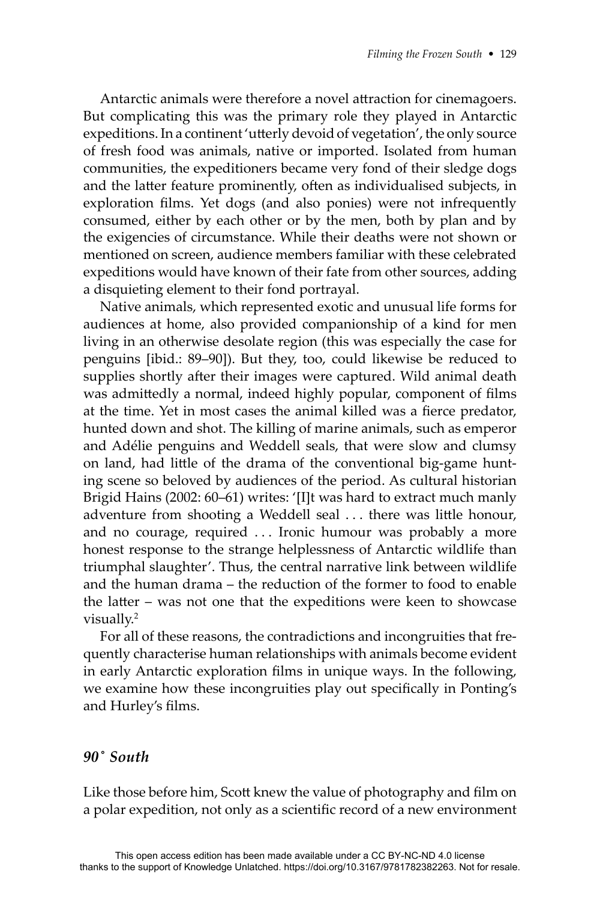Antarctic animals were therefore a novel attraction for cinemagoers. But complicating this was the primary role they played in Antarctic expeditions. In a continent 'utterly devoid of vegetation', the only source of fresh food was animals, native or imported. Isolated from human communities, the expeditioners became very fond of their sledge dogs and the latter feature prominently, often as individualised subjects, in exploration films. Yet dogs (and also ponies) were not infrequently consumed, either by each other or by the men, both by plan and by the exigencies of circumstance. While their deaths were not shown or mentioned on screen, audience members familiar with these celebrated expeditions would have known of their fate from other sources, adding a disquieting element to their fond portrayal.

Native animals, which represented exotic and unusual life forms for audiences at home, also provided companionship of a kind for men living in an otherwise desolate region (this was especially the case for penguins [ibid.: 89–90]). But they, too, could likewise be reduced to supplies shortly after their images were captured. Wild animal death was admittedly a normal, indeed highly popular, component of films at the time. Yet in most cases the animal killed was a fierce predator, hunted down and shot. The killing of marine animals, such as emperor and Adélie penguins and Weddell seals, that were slow and clumsy on land, had little of the drama of the conventional big-game hunting scene so beloved by audiences of the period. As cultural historian Brigid Hains (2002: 60–61) writes: '[I]t was hard to extract much manly adventure from shooting a Weddell seal . . . there was little honour, and no courage, required . . . Ironic humour was probably a more honest response to the strange helplessness of Antarctic wildlife than triumphal slaughter'. Thus, the central narrative link between wildlife and the human drama – the reduction of the former to food to enable the latter – was not one that the expeditions were keen to showcase visually.<sup>2</sup>

For all of these reasons, the contradictions and incongruities that frequently characterise human relationships with animals become evident in early Antarctic exploration films in unique ways. In the following, we examine how these incongruities play out specifically in Ponting's and Hurley's films.

#### *90˚ South*

Like those before him, Scott knew the value of photography and film on a polar expedition, not only as a scientific record of a new environment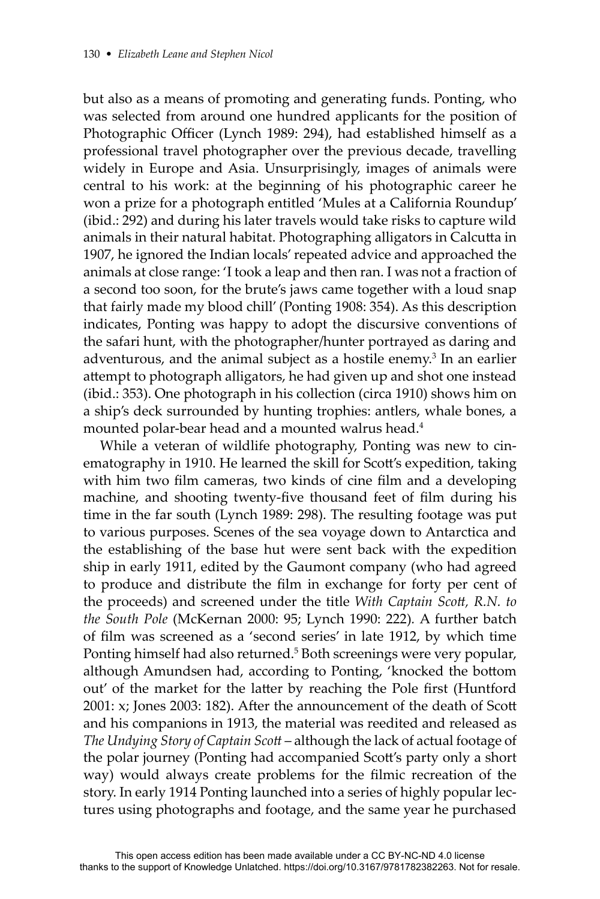but also as a means of promoting and generating funds. Ponting, who was selected from around one hundred applicants for the position of Photographic Officer (Lynch 1989: 294), had established himself as a professional travel photographer over the previous decade, travelling widely in Europe and Asia. Unsurprisingly, images of animals were central to his work: at the beginning of his photographic career he won a prize for a photograph entitled 'Mules at a California Roundup' (ibid.: 292) and during his later travels would take risks to capture wild animals in their natural habitat. Photographing alligators in Calcutta in 1907, he ignored the Indian locals' repeated advice and approached the animals at close range: 'I took a leap and then ran. I was not a fraction of a second too soon, for the brute's jaws came together with a loud snap that fairly made my blood chill' (Ponting 1908: 354). As this description indicates, Ponting was happy to adopt the discursive conventions of the safari hunt, with the photographer/hunter portrayed as daring and adventurous, and the animal subject as a hostile enemy.<sup>3</sup> In an earlier attempt to photograph alligators, he had given up and shot one instead (ibid.: 353). One photograph in his collection (circa 1910) shows him on a ship's deck surrounded by hunting trophies: antlers, whale bones, a mounted polar-bear head and a mounted walrus head.4

While a veteran of wildlife photography, Ponting was new to cinematography in 1910. He learned the skill for Scott's expedition, taking with him two film cameras, two kinds of cine film and a developing machine, and shooting twenty-five thousand feet of film during his time in the far south (Lynch 1989: 298). The resulting footage was put to various purposes. Scenes of the sea voyage down to Antarctica and the establishing of the base hut were sent back with the expedition ship in early 1911, edited by the Gaumont company (who had agreed to produce and distribute the film in exchange for forty per cent of the proceeds) and screened under the title *With Captain Scott, R.N. to the South Pole* (McKernan 2000: 95; Lynch 1990: 222)*.* A further batch of film was screened as a 'second series' in late 1912, by which time Ponting himself had also returned.<sup>5</sup> Both screenings were very popular, although Amundsen had, according to Ponting, 'knocked the bottom out' of the market for the latter by reaching the Pole first (Huntford 2001: x; Jones 2003: 182). After the announcement of the death of Scott and his companions in 1913, the material was reedited and released as *The Undying Story of Captain Scott* – although the lack of actual footage of the polar journey (Ponting had accompanied Scott's party only a short way) would always create problems for the filmic recreation of the story. In early 1914 Ponting launched into a series of highly popular lectures using photographs and footage, and the same year he purchased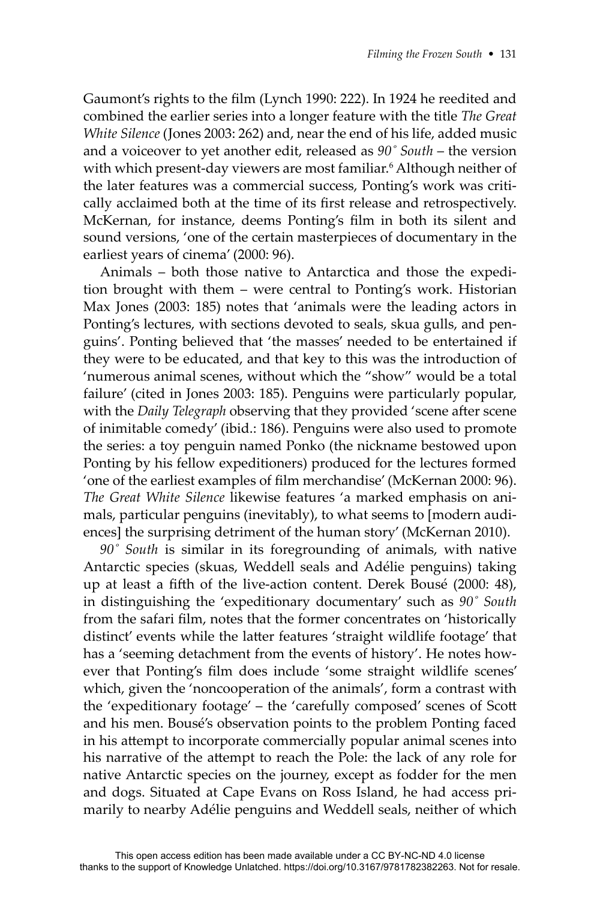Gaumont's rights to the film (Lynch 1990: 222). In 1924 he reedited and combined the earlier series into a longer feature with the title *The Great White Silence* (Jones 2003: 262) and, near the end of his life, added music and a voiceover to yet another edit, released as *90˚ South* – the version with which present-day viewers are most familiar. 6 Although neither of the later features was a commercial success, Ponting's work was critically acclaimed both at the time of its first release and retrospectively. McKernan, for instance, deems Ponting's film in both its silent and sound versions, 'one of the certain masterpieces of documentary in the earliest years of cinema' (2000: 96).

Animals – both those native to Antarctica and those the expedition brought with them – were central to Ponting's work. Historian Max Jones (2003: 185) notes that 'animals were the leading actors in Ponting's lectures, with sections devoted to seals, skua gulls, and penguins'. Ponting believed that 'the masses' needed to be entertained if they were to be educated, and that key to this was the introduction of 'numerous animal scenes, without which the "show" would be a total failure' (cited in Jones 2003: 185). Penguins were particularly popular, with the *Daily Telegraph* observing that they provided 'scene after scene of inimitable comedy' (ibid.: 186). Penguins were also used to promote the series: a toy penguin named Ponko (the nickname bestowed upon Ponting by his fellow expeditioners) produced for the lectures formed 'one of the earliest examples of film merchandise' (McKernan 2000: 96). *The Great White Silence* likewise features 'a marked emphasis on animals, particular penguins (inevitably), to what seems to [modern audiences] the surprising detriment of the human story' (McKernan 2010).

*90˚ South* is similar in its foregrounding of animals, with native Antarctic species (skuas, Weddell seals and Adélie penguins) taking up at least a fifth of the live-action content. Derek Bousé (2000: 48), in distinguishing the 'expeditionary documentary' such as *90˚ South* from the safari film, notes that the former concentrates on 'historically distinct' events while the latter features 'straight wildlife footage' that has a 'seeming detachment from the events of history'. He notes however that Ponting's film does include 'some straight wildlife scenes' which, given the 'noncooperation of the animals', form a contrast with the 'expeditionary footage' – the 'carefully composed' scenes of Scott and his men. Bousé's observation points to the problem Ponting faced in his attempt to incorporate commercially popular animal scenes into his narrative of the attempt to reach the Pole: the lack of any role for native Antarctic species on the journey, except as fodder for the men and dogs. Situated at Cape Evans on Ross Island, he had access primarily to nearby Adélie penguins and Weddell seals, neither of which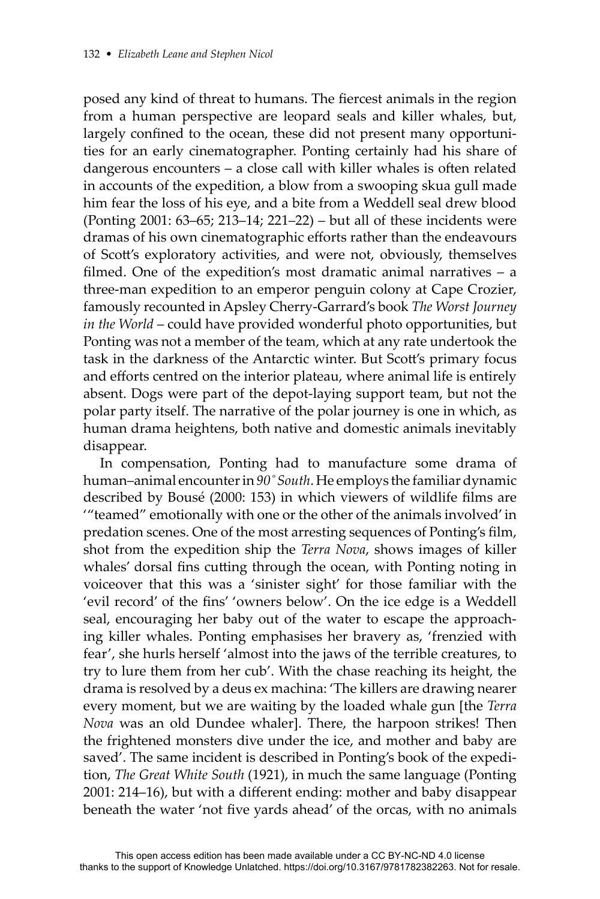posed any kind of threat to humans. The fiercest animals in the region from a human perspective are leopard seals and killer whales, but, largely confined to the ocean, these did not present many opportunities for an early cinematographer. Ponting certainly had his share of dangerous encounters – a close call with killer whales is often related in accounts of the expedition, a blow from a swooping skua gull made him fear the loss of his eye, and a bite from a Weddell seal drew blood (Ponting 2001: 63–65; 213–14; 221–22) – but all of these incidents were dramas of his own cinematographic efforts rather than the endeavours of Scott's exploratory activities, and were not, obviously, themselves filmed. One of the expedition's most dramatic animal narratives – a three-man expedition to an emperor penguin colony at Cape Crozier, famously recounted in Apsley Cherry-Garrard's book *The Worst Journey in the World* – could have provided wonderful photo opportunities, but Ponting was not a member of the team, which at any rate undertook the task in the darkness of the Antarctic winter. But Scott's primary focus and efforts centred on the interior plateau, where animal life is entirely absent. Dogs were part of the depot-laying support team, but not the polar party itself. The narrative of the polar journey is one in which, as human drama heightens, both native and domestic animals inevitably disappear.

In compensation, Ponting had to manufacture some drama of human–animal encounter in *90˚ South*. He employs the familiar dynamic described by Bousé (2000: 153) in which viewers of wildlife films are '"teamed" emotionally with one or the other of the animals involved' in predation scenes. One of the most arresting sequences of Ponting's film, shot from the expedition ship the *Terra Nova*, shows images of killer whales' dorsal fins cutting through the ocean, with Ponting noting in voiceover that this was a 'sinister sight' for those familiar with the 'evil record' of the fins' 'owners below'. On the ice edge is a Weddell seal, encouraging her baby out of the water to escape the approaching killer whales. Ponting emphasises her bravery as, 'frenzied with fear', she hurls herself 'almost into the jaws of the terrible creatures, to try to lure them from her cub'. With the chase reaching its height, the drama is resolved by a deus ex machina: 'The killers are drawing nearer every moment, but we are waiting by the loaded whale gun [the *Terra Nova* was an old Dundee whaler]. There, the harpoon strikes! Then the frightened monsters dive under the ice, and mother and baby are saved'. The same incident is described in Ponting's book of the expedition, *The Great White South* (1921), in much the same language (Ponting 2001: 214–16), but with a different ending: mother and baby disappear beneath the water 'not five yards ahead' of the orcas, with no animals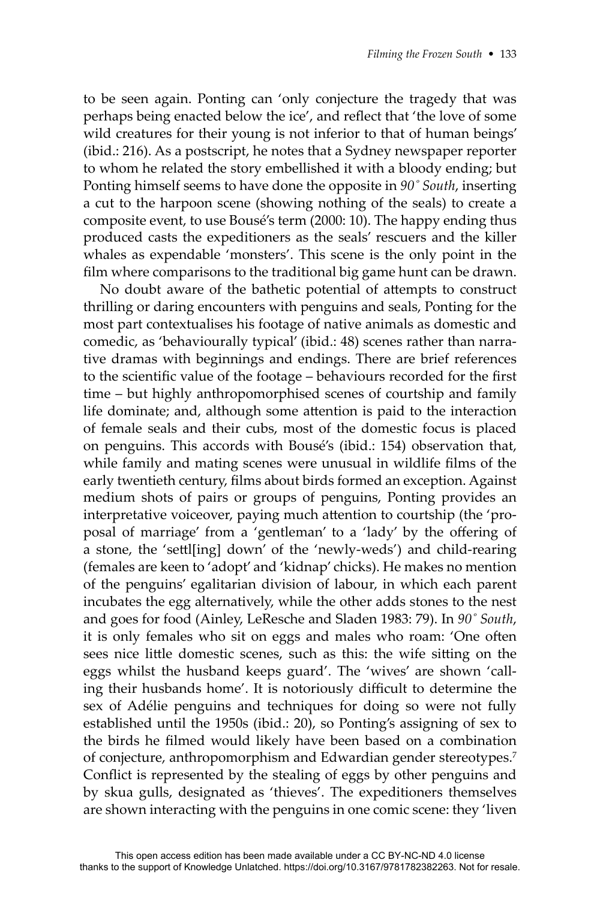to be seen again. Ponting can 'only conjecture the tragedy that was perhaps being enacted below the ice', and reflect that 'the love of some wild creatures for their young is not inferior to that of human beings' (ibid.: 216). As a postscript, he notes that a Sydney newspaper reporter to whom he related the story embellished it with a bloody ending; but Ponting himself seems to have done the opposite in *90˚ South*, inserting a cut to the harpoon scene (showing nothing of the seals) to create a composite event, to use Bousé's term (2000: 10). The happy ending thus produced casts the expeditioners as the seals' rescuers and the killer whales as expendable 'monsters'. This scene is the only point in the film where comparisons to the traditional big game hunt can be drawn.

No doubt aware of the bathetic potential of attempts to construct thrilling or daring encounters with penguins and seals, Ponting for the most part contextualises his footage of native animals as domestic and comedic, as 'behaviourally typical' (ibid.: 48) scenes rather than narrative dramas with beginnings and endings. There are brief references to the scientific value of the footage – behaviours recorded for the first time – but highly anthropomorphised scenes of courtship and family life dominate; and, although some attention is paid to the interaction of female seals and their cubs, most of the domestic focus is placed on penguins. This accords with Bousé's (ibid.: 154) observation that, while family and mating scenes were unusual in wildlife films of the early twentieth century, films about birds formed an exception. Against medium shots of pairs or groups of penguins, Ponting provides an interpretative voiceover, paying much attention to courtship (the 'proposal of marriage' from a 'gentleman' to a 'lady' by the offering of a stone, the 'settl[ing] down' of the 'newly-weds') and child-rearing (females are keen to 'adopt' and 'kidnap' chicks). He makes no mention of the penguins' egalitarian division of labour, in which each parent incubates the egg alternatively, while the other adds stones to the nest and goes for food (Ainley, LeResche and Sladen 1983: 79). In *90˚ South*, it is only females who sit on eggs and males who roam: 'One often sees nice little domestic scenes, such as this: the wife sitting on the eggs whilst the husband keeps guard'. The 'wives' are shown 'calling their husbands home'. It is notoriously difficult to determine the sex of Adélie penguins and techniques for doing so were not fully established until the 1950s (ibid.: 20), so Ponting's assigning of sex to the birds he filmed would likely have been based on a combination of conjecture, anthropomorphism and Edwardian gender stereotypes.<sup>7</sup> Conflict is represented by the stealing of eggs by other penguins and by skua gulls, designated as 'thieves'. The expeditioners themselves are shown interacting with the penguins in one comic scene: they 'liven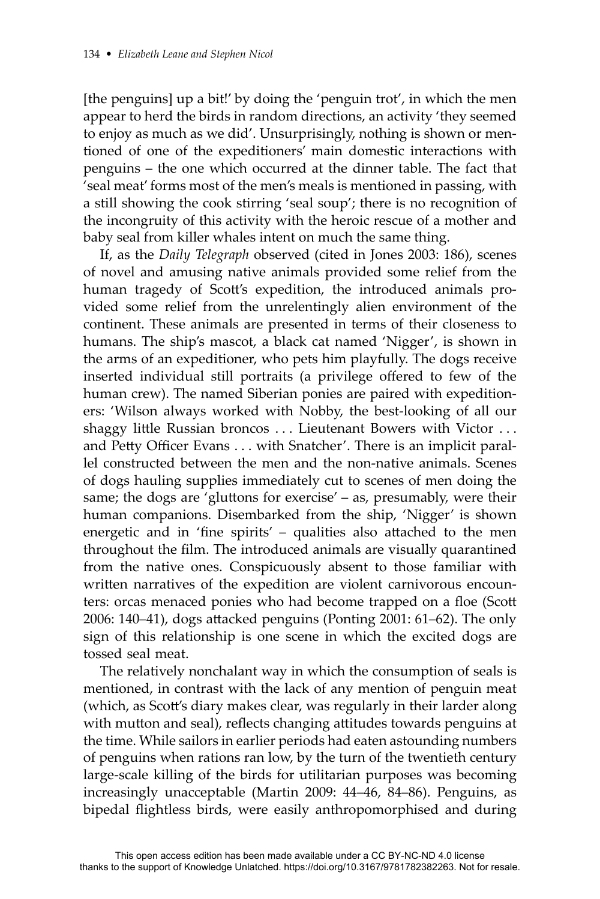[the penguins] up a bit!' by doing the 'penguin trot', in which the men appear to herd the birds in random directions, an activity 'they seemed to enjoy as much as we did'. Unsurprisingly, nothing is shown or mentioned of one of the expeditioners' main domestic interactions with penguins – the one which occurred at the dinner table. The fact that 'seal meat' forms most of the men's meals is mentioned in passing, with a still showing the cook stirring 'seal soup'; there is no recognition of the incongruity of this activity with the heroic rescue of a mother and baby seal from killer whales intent on much the same thing.

If, as the *Daily Telegraph* observed (cited in Jones 2003: 186), scenes of novel and amusing native animals provided some relief from the human tragedy of Scott's expedition, the introduced animals provided some relief from the unrelentingly alien environment of the continent. These animals are presented in terms of their closeness to humans. The ship's mascot, a black cat named 'Nigger', is shown in the arms of an expeditioner, who pets him playfully. The dogs receive inserted individual still portraits (a privilege offered to few of the human crew). The named Siberian ponies are paired with expeditioners: 'Wilson always worked with Nobby, the best-looking of all our shaggy little Russian broncos . . . Lieutenant Bowers with Victor . . . and Petty Officer Evans . . . with Snatcher'. There is an implicit parallel constructed between the men and the non-native animals. Scenes of dogs hauling supplies immediately cut to scenes of men doing the same; the dogs are 'gluttons for exercise' – as, presumably, were their human companions. Disembarked from the ship, 'Nigger' is shown energetic and in 'fine spirits' – qualities also attached to the men throughout the film. The introduced animals are visually quarantined from the native ones. Conspicuously absent to those familiar with written narratives of the expedition are violent carnivorous encounters: orcas menaced ponies who had become trapped on a floe (Scott 2006: 140–41), dogs attacked penguins (Ponting 2001: 61–62). The only sign of this relationship is one scene in which the excited dogs are tossed seal meat.

The relatively nonchalant way in which the consumption of seals is mentioned, in contrast with the lack of any mention of penguin meat (which, as Scott's diary makes clear, was regularly in their larder along with mutton and seal), reflects changing attitudes towards penguins at the time. While sailors in earlier periods had eaten astounding numbers of penguins when rations ran low, by the turn of the twentieth century large-scale killing of the birds for utilitarian purposes was becoming increasingly unacceptable (Martin 2009: 44–46, 84–86). Penguins, as bipedal flightless birds, were easily anthropomorphised and during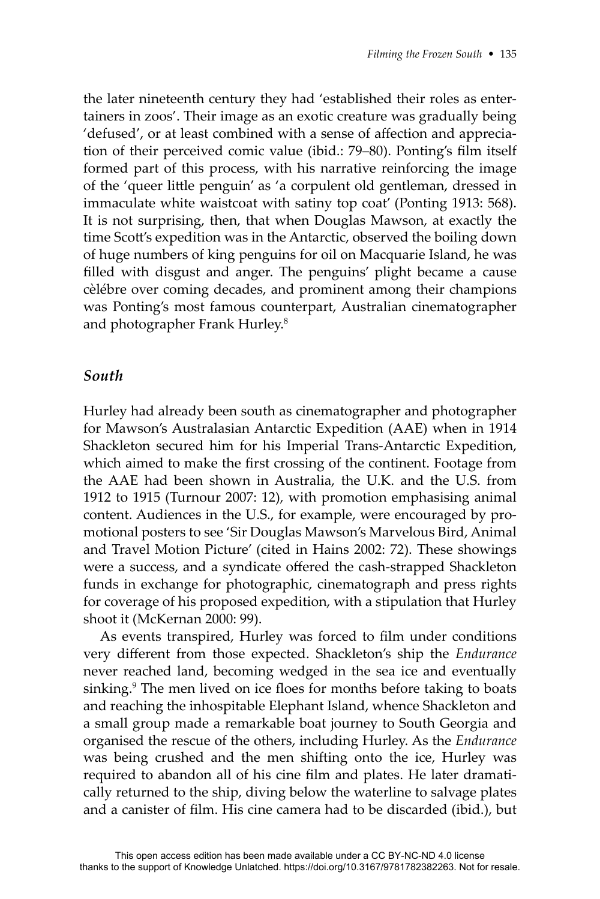the later nineteenth century they had 'established their roles as entertainers in zoos'. Their image as an exotic creature was gradually being 'defused', or at least combined with a sense of affection and appreciation of their perceived comic value (ibid.: 79–80). Ponting's film itself formed part of this process, with his narrative reinforcing the image of the 'queer little penguin' as 'a corpulent old gentleman, dressed in immaculate white waistcoat with satiny top coat' (Ponting 1913: 568). It is not surprising, then, that when Douglas Mawson, at exactly the time Scott's expedition was in the Antarctic, observed the boiling down of huge numbers of king penguins for oil on Macquarie Island, he was filled with disgust and anger. The penguins' plight became a cause cèlébre over coming decades, and prominent among their champions was Ponting's most famous counterpart, Australian cinematographer and photographer Frank Hurley.<sup>8</sup>

#### *South*

Hurley had already been south as cinematographer and photographer for Mawson's Australasian Antarctic Expedition (AAE) when in 1914 Shackleton secured him for his Imperial Trans-Antarctic Expedition, which aimed to make the first crossing of the continent. Footage from the AAE had been shown in Australia, the U.K. and the U.S. from 1912 to 1915 (Turnour 2007: 12), with promotion emphasising animal content. Audiences in the U.S., for example, were encouraged by promotional posters to see 'Sir Douglas Mawson's Marvelous Bird, Animal and Travel Motion Picture' (cited in Hains 2002: 72). These showings were a success, and a syndicate offered the cash-strapped Shackleton funds in exchange for photographic, cinematograph and press rights for coverage of his proposed expedition, with a stipulation that Hurley shoot it (McKernan 2000: 99).

As events transpired, Hurley was forced to film under conditions very different from those expected. Shackleton's ship the *Endurance* never reached land, becoming wedged in the sea ice and eventually sinking.<sup>9</sup> The men lived on ice floes for months before taking to boats and reaching the inhospitable Elephant Island, whence Shackleton and a small group made a remarkable boat journey to South Georgia and organised the rescue of the others, including Hurley. As the *Endurance*  was being crushed and the men shifting onto the ice, Hurley was required to abandon all of his cine film and plates. He later dramatically returned to the ship, diving below the waterline to salvage plates and a canister of film. His cine camera had to be discarded (ibid.), but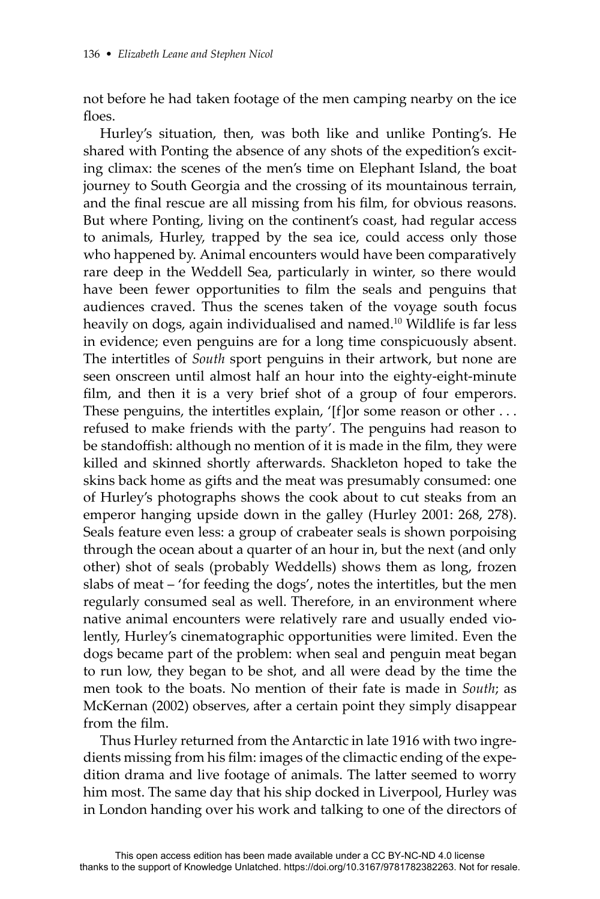not before he had taken footage of the men camping nearby on the ice floes.

Hurley's situation, then, was both like and unlike Ponting's. He shared with Ponting the absence of any shots of the expedition's exciting climax: the scenes of the men's time on Elephant Island, the boat journey to South Georgia and the crossing of its mountainous terrain, and the final rescue are all missing from his film, for obvious reasons. But where Ponting, living on the continent's coast, had regular access to animals, Hurley, trapped by the sea ice, could access only those who happened by. Animal encounters would have been comparatively rare deep in the Weddell Sea, particularly in winter, so there would have been fewer opportunities to film the seals and penguins that audiences craved. Thus the scenes taken of the voyage south focus heavily on dogs, again individualised and named.<sup>10</sup> Wildlife is far less in evidence; even penguins are for a long time conspicuously absent. The intertitles of *South* sport penguins in their artwork, but none are seen onscreen until almost half an hour into the eighty-eight-minute film, and then it is a very brief shot of a group of four emperors. These penguins, the intertitles explain, '[f]or some reason or other  $\dots$ refused to make friends with the party'. The penguins had reason to be standoffish: although no mention of it is made in the film, they were killed and skinned shortly afterwards. Shackleton hoped to take the skins back home as gifts and the meat was presumably consumed: one of Hurley's photographs shows the cook about to cut steaks from an emperor hanging upside down in the galley (Hurley 2001: 268, 278). Seals feature even less: a group of crabeater seals is shown porpoising through the ocean about a quarter of an hour in, but the next (and only other) shot of seals (probably Weddells) shows them as long, frozen slabs of meat – 'for feeding the dogs', notes the intertitles, but the men regularly consumed seal as well. Therefore, in an environment where native animal encounters were relatively rare and usually ended violently, Hurley's cinematographic opportunities were limited. Even the dogs became part of the problem: when seal and penguin meat began to run low, they began to be shot, and all were dead by the time the men took to the boats. No mention of their fate is made in *South*; as McKernan (2002) observes, after a certain point they simply disappear from the film.

Thus Hurley returned from the Antarctic in late 1916 with two ingredients missing from his film: images of the climactic ending of the expedition drama and live footage of animals. The latter seemed to worry him most. The same day that his ship docked in Liverpool, Hurley was in London handing over his work and talking to one of the directors of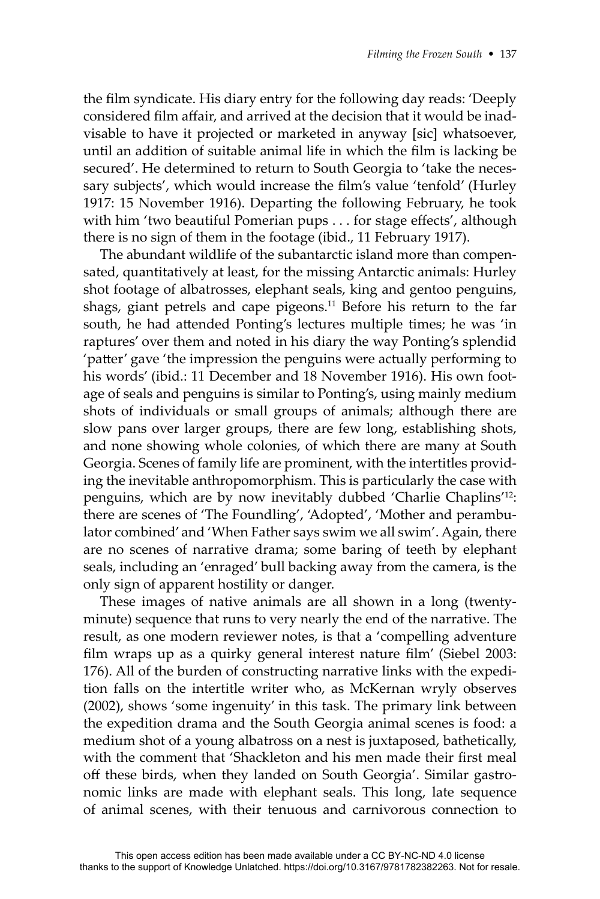the film syndicate. His diary entry for the following day reads: 'Deeply considered film affair, and arrived at the decision that it would be inadvisable to have it projected or marketed in anyway [sic] whatsoever, until an addition of suitable animal life in which the film is lacking be secured'. He determined to return to South Georgia to 'take the necessary subjects', which would increase the film's value 'tenfold' (Hurley 1917: 15 November 1916). Departing the following February, he took with him 'two beautiful Pomerian pups . . . for stage effects', although there is no sign of them in the footage (ibid., 11 February 1917).

The abundant wildlife of the subantarctic island more than compensated, quantitatively at least, for the missing Antarctic animals: Hurley shot footage of albatrosses, elephant seals, king and gentoo penguins, shags, giant petrels and cape pigeons.<sup>11</sup> Before his return to the far south, he had attended Ponting's lectures multiple times; he was 'in raptures' over them and noted in his diary the way Ponting's splendid 'patter' gave 'the impression the penguins were actually performing to his words' (ibid.: 11 December and 18 November 1916). His own footage of seals and penguins is similar to Ponting's, using mainly medium shots of individuals or small groups of animals; although there are slow pans over larger groups, there are few long, establishing shots, and none showing whole colonies, of which there are many at South Georgia. Scenes of family life are prominent, with the intertitles providing the inevitable anthropomorphism. This is particularly the case with penguins, which are by now inevitably dubbed 'Charlie Chaplins'12: there are scenes of 'The Foundling', 'Adopted', 'Mother and perambulator combined' and 'When Father says swim we all swim'. Again, there are no scenes of narrative drama; some baring of teeth by elephant seals, including an 'enraged' bull backing away from the camera, is the only sign of apparent hostility or danger.

These images of native animals are all shown in a long (twentyminute) sequence that runs to very nearly the end of the narrative. The result, as one modern reviewer notes, is that a 'compelling adventure film wraps up as a quirky general interest nature film' (Siebel 2003: 176). All of the burden of constructing narrative links with the expedition falls on the intertitle writer who, as McKernan wryly observes (2002), shows 'some ingenuity' in this task. The primary link between the expedition drama and the South Georgia animal scenes is food: a medium shot of a young albatross on a nest is juxtaposed, bathetically, with the comment that 'Shackleton and his men made their first meal off these birds, when they landed on South Georgia'. Similar gastronomic links are made with elephant seals. This long, late sequence of animal scenes, with their tenuous and carnivorous connection to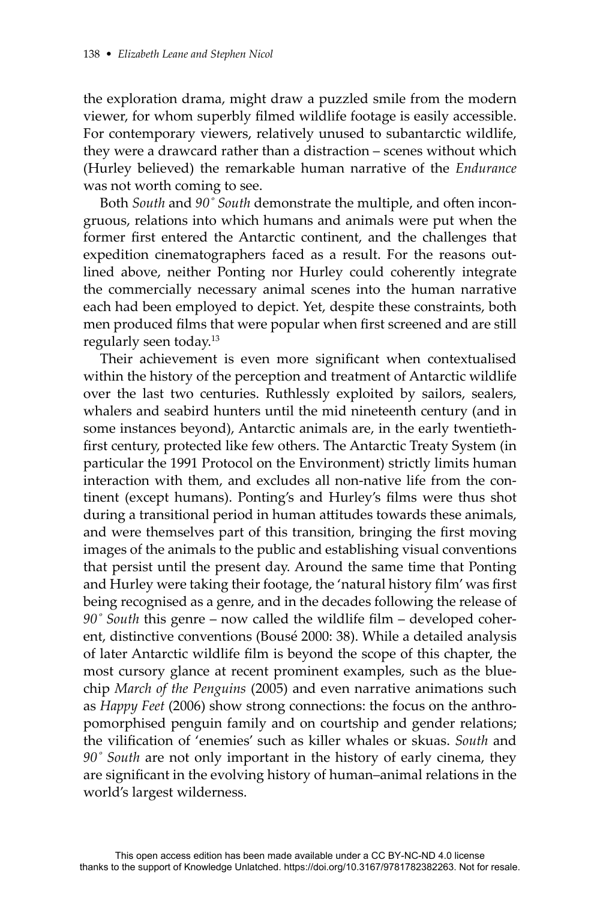the exploration drama, might draw a puzzled smile from the modern viewer, for whom superbly filmed wildlife footage is easily accessible. For contemporary viewers, relatively unused to subantarctic wildlife, they were a drawcard rather than a distraction – scenes without which (Hurley believed) the remarkable human narrative of the *Endurance* was not worth coming to see.

Both *South* and *90˚ South* demonstrate the multiple, and often incongruous, relations into which humans and animals were put when the former first entered the Antarctic continent, and the challenges that expedition cinematographers faced as a result. For the reasons outlined above, neither Ponting nor Hurley could coherently integrate the commercially necessary animal scenes into the human narrative each had been employed to depict. Yet, despite these constraints, both men produced films that were popular when first screened and are still regularly seen today.13

Their achievement is even more significant when contextualised within the history of the perception and treatment of Antarctic wildlife over the last two centuries. Ruthlessly exploited by sailors, sealers, whalers and seabird hunters until the mid nineteenth century (and in some instances beyond), Antarctic animals are, in the early twentiethfirst century, protected like few others. The Antarctic Treaty System (in particular the 1991 Protocol on the Environment) strictly limits human interaction with them, and excludes all non-native life from the continent (except humans). Ponting's and Hurley's films were thus shot during a transitional period in human attitudes towards these animals, and were themselves part of this transition, bringing the first moving images of the animals to the public and establishing visual conventions that persist until the present day. Around the same time that Ponting and Hurley were taking their footage, the 'natural history film' was first being recognised as a genre, and in the decades following the release of *90˚ South* this genre – now called the wildlife film – developed coherent, distinctive conventions (Bousé 2000: 38). While a detailed analysis of later Antarctic wildlife film is beyond the scope of this chapter, the most cursory glance at recent prominent examples, such as the bluechip *March of the Penguins* (2005) and even narrative animations such as *Happy Feet* (2006) show strong connections: the focus on the anthropomorphised penguin family and on courtship and gender relations; the vilification of 'enemies' such as killer whales or skuas. *South* and *90˚ South* are not only important in the history of early cinema, they are significant in the evolving history of human–animal relations in the world's largest wilderness.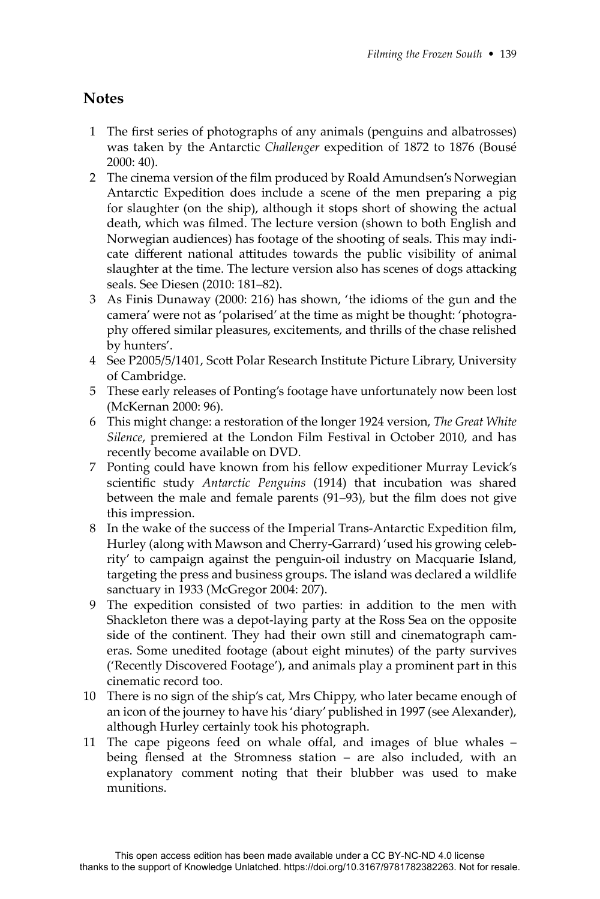## **Notes**

- 1 The first series of photographs of any animals (penguins and albatrosses) was taken by the Antarctic *Challenger* expedition of 1872 to 1876 (Bousé 2000: 40).
- 2 The cinema version of the film produced by Roald Amundsen's Norwegian Antarctic Expedition does include a scene of the men preparing a pig for slaughter (on the ship), although it stops short of showing the actual death, which was filmed. The lecture version (shown to both English and Norwegian audiences) has footage of the shooting of seals. This may indicate different national attitudes towards the public visibility of animal slaughter at the time. The lecture version also has scenes of dogs attacking seals. See Diesen (2010: 181–82).
- 3 As Finis Dunaway (2000: 216) has shown, 'the idioms of the gun and the camera' were not as 'polarised' at the time as might be thought: 'photography offered similar pleasures, excitements, and thrills of the chase relished by hunters'.
- 4 See P2005/5/1401, Scott Polar Research Institute Picture Library, University of Cambridge.
- 5 These early releases of Ponting's footage have unfortunately now been lost (McKernan 2000: 96).
- 6 This might change: a restoration of the longer 1924 version, *The Great White Silence*, premiered at the London Film Festival in October 2010, and has recently become available on DVD.
- 7 Ponting could have known from his fellow expeditioner Murray Levick's scientific study *Antarctic Penguins* (1914) that incubation was shared between the male and female parents (91–93), but the film does not give this impression.
- 8 In the wake of the success of the Imperial Trans-Antarctic Expedition film, Hurley (along with Mawson and Cherry-Garrard) 'used his growing celebrity' to campaign against the penguin-oil industry on Macquarie Island, targeting the press and business groups. The island was declared a wildlife sanctuary in 1933 (McGregor 2004: 207).
- 9 The expedition consisted of two parties: in addition to the men with Shackleton there was a depot-laying party at the Ross Sea on the opposite side of the continent. They had their own still and cinematograph cameras. Some unedited footage (about eight minutes) of the party survives ('Recently Discovered Footage'), and animals play a prominent part in this cinematic record too.
- 10 There is no sign of the ship's cat, Mrs Chippy, who later became enough of an icon of the journey to have his 'diary' published in 1997 (see Alexander), although Hurley certainly took his photograph.
- 11 The cape pigeons feed on whale offal, and images of blue whales being flensed at the Stromness station – are also included, with an explanatory comment noting that their blubber was used to make munitions.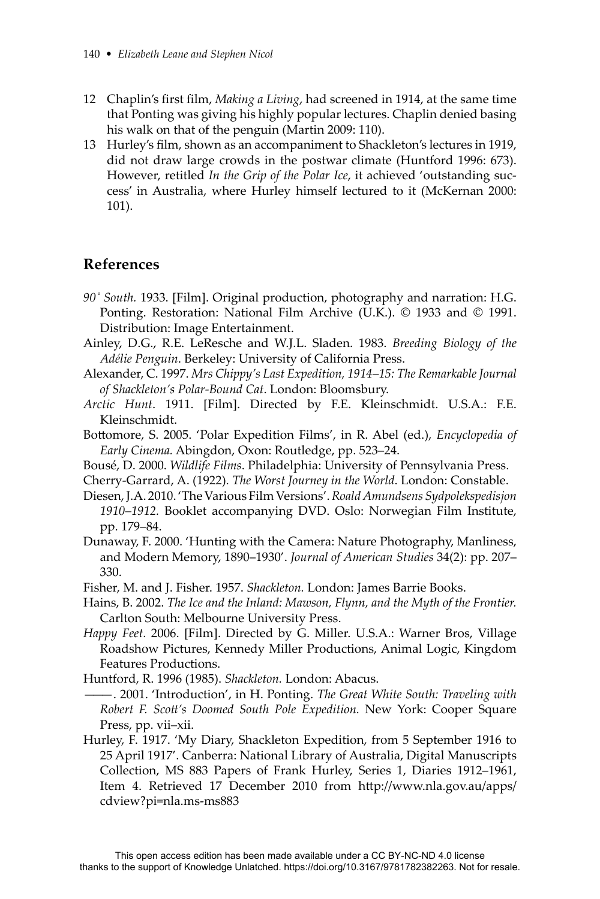- 12 Chaplin's first film, *Making a Living*, had screened in 1914, at the same time that Ponting was giving his highly popular lectures. Chaplin denied basing his walk on that of the penguin (Martin 2009: 110).
- 13 Hurley's film, shown as an accompaniment to Shackleton's lectures in 1919, did not draw large crowds in the postwar climate (Huntford 1996: 673). However, retitled *In the Grip of the Polar Ice*, it achieved 'outstanding success' in Australia, where Hurley himself lectured to it (McKernan 2000: 101).

### **References**

- *90˚ South.* 1933. [Film]. Original production, photography and narration: H.G. Ponting. Restoration: National Film Archive (U.K.). © 1933 and © 1991. Distribution: Image Entertainment.
- Ainley, D.G., R.E. LeResche and W.J.L. Sladen. 1983. *Breeding Biology of the Adélie Penguin*. Berkeley: University of California Press.
- Alexander, C. 1997. *Mrs Chippy's Last Expedition, 1914–15: The Remarkable Journal of Shackleton's Polar-Bound Cat*. London: Bloomsbury.
- *Arctic Hunt*. 1911. [Film]. Directed by F.E. Kleinschmidt. U.S.A.: F.E. Kleinschmidt.
- Bottomore, S. 2005. 'Polar Expedition Films', in R. Abel (ed.), *Encyclopedia of Early Cinema.* Abingdon, Oxon: Routledge, pp. 523–24.
- Bousé, D. 2000. *Wildlife Films*. Philadelphia: University of Pennsylvania Press.
- Cherry-Garrard, A. (1922). *The Worst Journey in the World*. London: Constable.
- Diesen, J.A. 2010. 'The Various Film Versions'. *Roald Amundsens Sydpolekspedisjon 1910–1912.* Booklet accompanying DVD. Oslo: Norwegian Film Institute, pp. 179–84.
- Dunaway, F. 2000. 'Hunting with the Camera: Nature Photography, Manliness, and Modern Memory, 1890–1930'. *Journal of American Studies* 34(2): pp. 207– 330.
- Fisher, M. and J. Fisher. 1957. *Shackleton.* London: James Barrie Books.
- Hains, B. 2002. *The Ice and the Inland: Mawson, Flynn, and the Myth of the Frontier.* Carlton South: Melbourne University Press.
- *Happy Feet*. 2006. [Film]. Directed by G. Miller. U.S.A.: Warner Bros, Village Roadshow Pictures, Kennedy Miller Productions, Animal Logic, Kingdom Features Productions.
- Huntford, R. 1996 (1985). *Shackleton.* London: Abacus.
	- ———. 2001. 'Introduction', in H. Ponting. *The Great White South: Traveling with Robert F. Scott's Doomed South Pole Expedition.* New York: Cooper Square Press, pp. vii–xii.
- Hurley, F. 1917. 'My Diary, Shackleton Expedition, from 5 September 1916 to 25 April 1917'. Canberra: National Library of Australia, Digital Manuscripts Collection, MS 883 Papers of Frank Hurley, Series 1, Diaries 1912–1961, Item 4. Retrieved 17 December 2010 from http://www.nla.gov.au/apps/ cdview?pi=nla.ms-ms883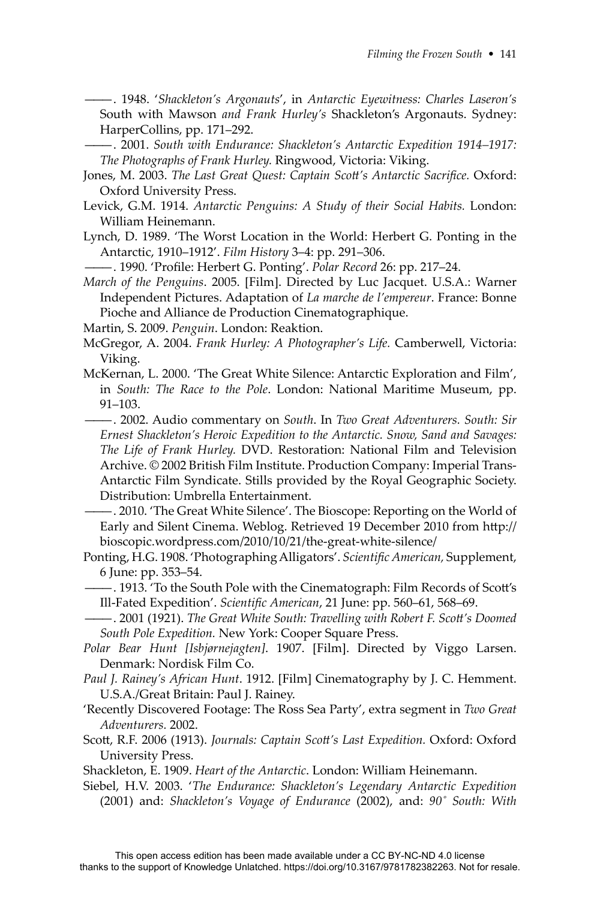———. 1948. '*Shackleton's Argonauts*', in *Antarctic Eyewitness: Charles Laseron's* South with Mawson *and Frank Hurley's* Shackleton's Argonauts. Sydney: HarperCollins, pp. 171–292.

———. 2001. *South with Endurance: Shackleton's Antarctic Expedition 1914–1917: The Photographs of Frank Hurley.* Ringwood, Victoria: Viking.

- Jones, M. 2003. *The Last Great Quest: Captain Scott's Antarctic Sacrifice.* Oxford: Oxford University Press.
- Levick, G.M. 1914. *Antarctic Penguins: A Study of their Social Habits.* London: William Heinemann.
- Lynch, D. 1989. 'The Worst Location in the World: Herbert G. Ponting in the Antarctic, 1910–1912'. *Film History* 3–4: pp. 291–306.

———. 1990. 'Profile: Herbert G. Ponting'. *Polar Record* 26: pp. 217–24.

- *March of the Penguins*. 2005. [Film]. Directed by Luc Jacquet. U.S.A.: Warner Independent Pictures. Adaptation of *La marche de l'empereur*. France: Bonne Pioche and Alliance de Production Cinematographique.
- Martin, S. 2009. *Penguin*. London: Reaktion.
- McGregor, A. 2004. *Frank Hurley: A Photographer's Life.* Camberwell, Victoria: Viking.
- McKernan, L. 2000. 'The Great White Silence: Antarctic Exploration and Film', in *South: The Race to the Pole*. London: National Maritime Museum, pp. 91–103.
	- ———. 2002. Audio commentary on *South*. In *Two Great Adventurers. South: Sir Ernest Shackleton's Heroic Expedition to the Antarctic. Snow, Sand and Savages: The Life of Frank Hurley.* DVD. Restoration: National Film and Television Archive. © 2002 British Film Institute. Production Company: Imperial Trans-Antarctic Film Syndicate. Stills provided by the Royal Geographic Society. Distribution: Umbrella Entertainment.

———. 2010. 'The Great White Silence'. The Bioscope: Reporting on the World of Early and Silent Cinema. Weblog. Retrieved 19 December 2010 from http:// bioscopic.wordpress.com/2010/10/21/the-great-white-silence/

Ponting, H.G. 1908. 'Photographing Alligators'. *Scientific American,* Supplement, 6 June: pp. 353–54.

———. 1913. 'To the South Pole with the Cinematograph: Film Records of Scott's Ill-Fated Expedition'. *Scientific American*, 21 June: pp. 560–61, 568–69.

———. 2001 (1921). *The Great White South: Travelling with Robert F. Scott's Doomed South Pole Expedition.* New York: Cooper Square Press.

*Polar Bear Hunt [Isbjørnejagten]*. 1907. [Film]. Directed by Viggo Larsen. Denmark: Nordisk Film Co.

- *Paul J. Rainey's African Hunt*. 1912. [Film] Cinematography by J. C. Hemment. U.S.A./Great Britain: Paul J. Rainey.
- 'Recently Discovered Footage: The Ross Sea Party', extra segment in *Two Great Adventurers.* 2002.
- Scott, R.F. 2006 (1913). *Journals: Captain Scott's Last Expedition.* Oxford: Oxford University Press.
- Shackleton, E. 1909. *Heart of the Antarctic*. London: William Heinemann.
- Siebel, H.V. 2003. '*The Endurance: Shackleton's Legendary Antarctic Expedition* (2001) and: *Shackleton's Voyage of Endurance* (2002), and: *90˚ South: With*